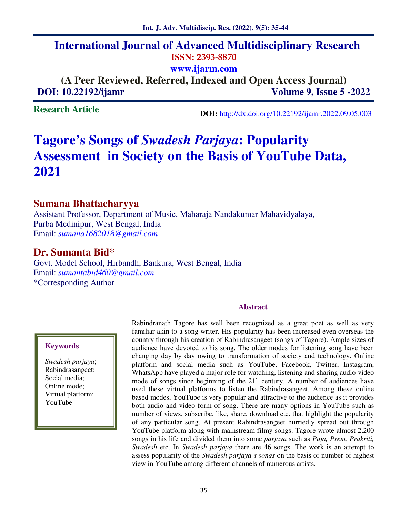# **International Journal of Advanced Multidisciplinary Research ISSN: 2393-8870 www.ijarm.com**

**(A Peer Reviewed, Referred, Indexed and Open Access Journal) DOI:** 10.22192/ijamr Volume 9, Issue 5 -2022

**Research Article** 

 **DOI:** http://dx.doi.org/10.22192/ijamr.2022.09.05.003

# **Tagore's Songs of** *Swadesh Parjaya***: Popularity Assessment in Society on the Basis of YouTube Data, 2021**

### **Sumana Bhattacharyya**

Assistant Professor, Department of Music, Maharaja Nandakumar Mahavidyalaya, Purba Medinipur, West Bengal, India Email: *sumana1682018@gmail.com*

# **Dr. Sumanta Bid\***

Govt. Model School, Hirbandh, Bankura, West Bengal, India Email: *sumantabid460@gmail.com* \*Corresponding Author

#### **Abstract**

#### **Keywords**

*Swadesh parjaya*; Rabindrasangeet; Social media; Online mode; Virtual platform; YouTube

Rabindranath Tagore has well been recognized as a great poet as well as very familiar akin to a song writer. His popularity has been increased even overseas the country through his creation of Rabindrasangeet (songs of Tagore). Ample sizes of audience have devoted to his song. The older modes for listening song have been changing day by day owing to transformation of society and technology. Online platform and social media such as YouTube, Facebook, Twitter, Instagram, WhatsApp have played a major role for watching, listening and sharing audio-video mode of songs since beginning of the  $21<sup>st</sup>$  century. A number of audiences have used these virtual platforms to listen the Rabindrasangeet. Among these online based modes, YouTube is very popular and attractive to the audience as it provides both audio and video form of song. There are many options in YouTube such as number of views, subscribe, like, share, download etc. that highlight the popularity of any particular song. At present Rabindrasangeet hurriedly spread out through YouTube platform along with mainstream filmy songs. Tagore wrote almost 2,200 songs in his life and divided them into some *parjaya* such as *Puja, Prem, Prakriti, Swadesh* etc. In *Swadesh parjaya* there are 46 songs. The work is an attempt to assess popularity of the *Swadesh parjaya's songs* on the basis of number of highest view in YouTube among different channels of numerous artists.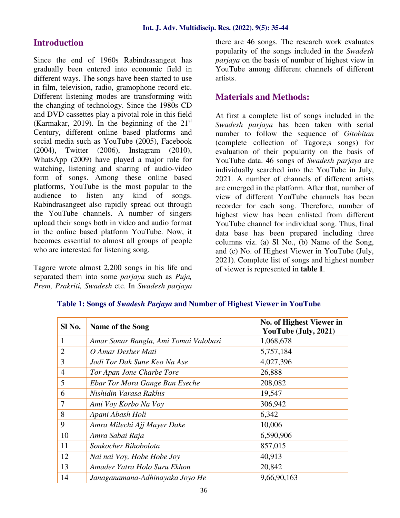### **Introduction**

Since the end of 1960s Rabindrasangeet has gradually been entered into economic field in different ways. The songs have been started to use in film, television, radio, gramophone record etc. Different listening modes are transforming with the changing of technology. Since the 1980s CD and DVD cassettes play a pivotal role in this field (Karmakar, 2019). In the beginning of the  $21<sup>st</sup>$ Century, different online based platforms and social media such as YouTube (2005), Facebook (2004), Twitter (2006), Instagram (2010), WhatsApp (2009) have played a major role for watching, listening and sharing of audio-video form of songs. Among these online based platforms, YouTube is the most popular to the audience to listen any kind of songs. Rabindrasangeet also rapidly spread out through the YouTube channels. A number of singers upload their songs both in video and audio format in the online based platform YouTube. Now, it becomes essential to almost all groups of people who are interested for listening song.

Tagore wrote almost 2,200 songs in his life and separated them into some *parjaya* such as *Puja, Prem, Prakriti, Swadesh* etc. In *Swadesh parjaya* there are 46 songs. The research work evaluates popularity of the songs included in the *Swadesh parjaya* on the basis of number of highest view in YouTube among different channels of different artists.

### **Materials and Methods:**

At first a complete list of songs included in the *Swadesh parjaya* has been taken with serial number to follow the sequence of *Gitobitan*  (complete collection of Tagore;s songs) for evaluation of their popularity on the basis of YouTube data. 46 songs of *Swadesh parjaya* are individually searched into the YouTube in July, 2021. A number of channels of different artists are emerged in the platform. After that, number of view of different YouTube channels has been recorder for each song. Therefore, number of highest view has been enlisted from different YouTube channel for individual song. Thus, final data base has been prepared including three columns viz. (a) Sl No., (b) Name of the Song, and (c) No. of Highest Viewer in YouTube (July, 2021). Complete list of songs and highest number of viewer is represented in **table 1**.

| Sl No.         | Name of the Song                      | No. of Highest Viewer in<br>YouTube (July, 2021) |
|----------------|---------------------------------------|--------------------------------------------------|
| 1              | Amar Sonar Bangla, Ami Tomai Valobasi | 1,068,678                                        |
| $\overline{2}$ | O Amar Desher Mati                    | 5,757,184                                        |
| 3              | Jodi Tor Dak Sune Keo Na Ase          | 4,027,396                                        |
| $\overline{4}$ | Tor Apan Jone Charbe Tore             | 26,888                                           |
| 5              | Ebar Tor Mora Gange Ban Eseche        | 208,082                                          |
| 6              | Nishidin Varasa Rakhis                | 19,547                                           |
| 7              | Ami Voy Korbo Na Voy                  | 306,942                                          |
| 8              | Apani Abash Holi                      | 6,342                                            |
| 9              | Amra Milechi Ajj Mayer Dake           | 10,006                                           |
| 10             | Amra Sabai Raja                       | 6,590,906                                        |
| 11             | Sonkocher Bihobolota                  | 857,015                                          |
| 12             | Nai nai Voy, Hobe Hobe Joy            | 40,913                                           |
| 13             | Amader Yatra Holo Suru Ekhon          | 20,842                                           |
| 14             | Janaganamana-Adhinayaka Joyo He       | 9,66,90,163                                      |

#### **Table 1: Songs of** *Swadesh Parjaya* **and Number of Highest Viewer in YouTube**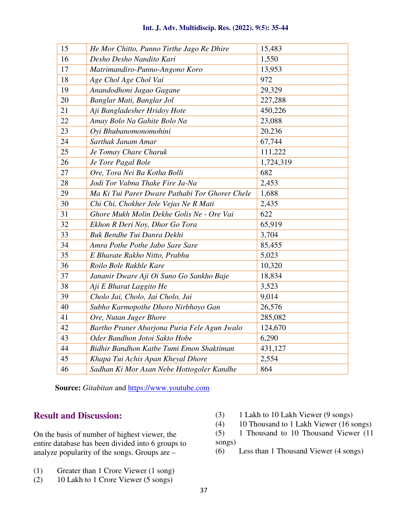| 15 | He Mor Chitto, Punno Tirthe Jago Re Dhire      | 15,483    |
|----|------------------------------------------------|-----------|
| 16 | Desho Desho Nandito Kari                       | 1,550     |
| 17 | Matrimandiro-Punno-Angono Koro                 | 13,953    |
| 18 | Age Chol Age Chol Vai                          | 972       |
| 19 | Anandodhoni Jagao Gagane                       | 29,329    |
| 20 | Banglar Mati, Banglar Jol                      | 227,288   |
| 21 | Aji Bangladesher Hridoy Hote                   | 450,226   |
| 22 | Amay Bolo Na Gahite Bolo Na                    | 23,088    |
| 23 | Oyi Bhubanomonomohini                          | 20,236    |
| 24 | Sarthak Janam Amar                             | 67,744    |
| 25 | Je Tomay Chare Charuk                          | 111,222   |
| 26 | Je Tore Pagal Bole                             | 1,724,319 |
| 27 | Ore, Tora Nei Ba Kotha Bolli                   | 682       |
| 28 | Jodi Tor Vabna Thake Fire Ja-Na                | 2,453     |
| 29 | Ma Ki Tui Parer Dware Pathabi Tor Ghorer Chele | 1,688     |
| 30 | Chi Chi, Chokher Jole Vejas Ne R Mati          | 2,435     |
| 31 | Ghore Mukh Molin Dekhe Golis Ne - Ore Vai      | 622       |
| 32 | Ekhon R Deri Noy, Dhor Go Tora                 | 65,919    |
| 33 | Buk Bendhe Tui Danra Dekhi                     | 3,704     |
| 34 | Amra Pothe Pothe Jabo Sare Sare                | 85,455    |
| 35 | E Bharate Rakho Nitto, Prabhu                  | 5,023     |
| 36 | Roilo Bole Rakhle Kare                         | 10,320    |
| 37 | Jananir Dware Aji Oi Suno Go Sankho Baje       | 18,834    |
| 38 | Aji E Bharat Laggito He                        | 3,523     |
| 39 | Cholo Jai, Cholo, Jai Cholo, Jai               | 9,014     |
| 40 | Subho Karmopothe Dhoro Nirbhoyo Gan            | 26,576    |
| 41 | Ore, Nutan Juger Bhore                         | 285,082   |
| 42 | Bartho Praner Abarjona Puria Fele Agun Jwalo   | 124,670   |
| 43 | Oder Bandhon Jotoi Sakto Hobe                  | 6,290     |

 **Source:** *Gitabitan* and https://www.youtube.com

*Bidhir Bandhon Katbe Tumi Emon Shaktiman* 431,127 *Khapa Tui Achis Apan Kheyal Dhore* 2,554 *Sadhan Ki Mor Asan Nebe Hottogoler Kandhe* 864

### **Result and Discussion:**

On the basis of number of highest viewer, the entire database has been divided into 6 groups to analyze popularity of the songs. Groups are –

- (3) 1 Lakh to 10 Lakh Viewer (9 songs)
- (4) 10 Thousand to 1 Lakh Viewer (16 songs)
- (5) 1 Thousand to 10 Thousand Viewer (11 songs)
- (6) Less than 1 Thousand Viewer (4 songs)
- (1) Greater than 1 Crore Viewer (1 song)
- (2) 10 Lakh to 1 Crore Viewer (5 songs)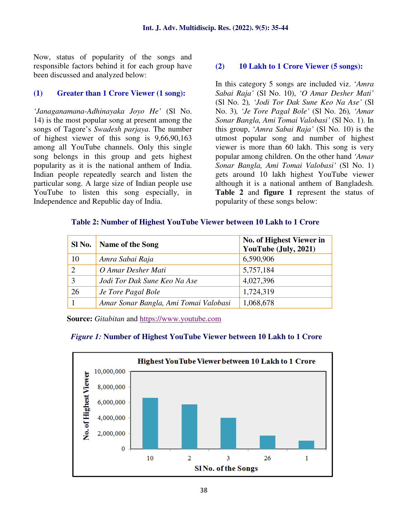Now, status of popularity of the songs and responsible factors behind it for each group have been discussed and analyzed below:

#### **(1) Greater than 1 Crore Viewer (1 song):**

*'Janaganamana-Adhinayaka Joyo He'* (Sl No. 14) is the most popular song at present among the songs of Tagore's *Swadesh parjaya*. The number of highest viewer of this song is 9,66,90,163 among all YouTube channels. Only this single song belongs in this group and gets highest popularity as it is the national anthem of India. Indian people repeatedly search and listen the particular song. A large size of Indian people use YouTube to listen this song especially, in Independence and Republic day of India.

#### **(2) 10 Lakh to 1 Crore Viewer (5 songs):**

In this category 5 songs are included viz. '*Amra Sabai Raja'* (Sl No. 10), *'O Amar Desher Mati'*  (Sl No. 2)*, 'Jodi Tor Dak Sune Keo Na Ase'* (Sl No. 3)*, 'Je Tore Pagal Bole'* (Sl No. 26)*, 'Amar Sonar Bangla, Ami Tomai Valobasi'* (Sl No. 1). In this group, '*Amra Sabai Raja'* (Sl No. 10) is the utmost popular song and number of highest viewer is more than 60 lakh. This song is very popular among children. On the other hand *'Amar Sonar Bangla, Ami Tomai Valobasi'* (Sl No. 1) gets around 10 lakh highest YouTube viewer although it is a national anthem of Bangladesh. **Table 2** and **figure 1** represent the status of popularity of these songs below:

#### **Table 2: Number of Highest YouTube Viewer between 10 Lakh to 1 Crore**

| Sl No.        | <b>Name of the Song</b>               | No. of Highest Viewer in<br>YouTube (July, 2021) |
|---------------|---------------------------------------|--------------------------------------------------|
| 10            | Amra Sabai Raja                       | 6,590,906                                        |
| $\mathcal{D}$ | O Amar Desher Mati                    | 5,757,184                                        |
|               | Jodi Tor Dak Sune Keo Na Ase          | 4,027,396                                        |
| 26            | Je Tore Pagal Bole                    | 1,724,319                                        |
|               | Amar Sonar Bangla, Ami Tomai Valobasi | 1,068,678                                        |



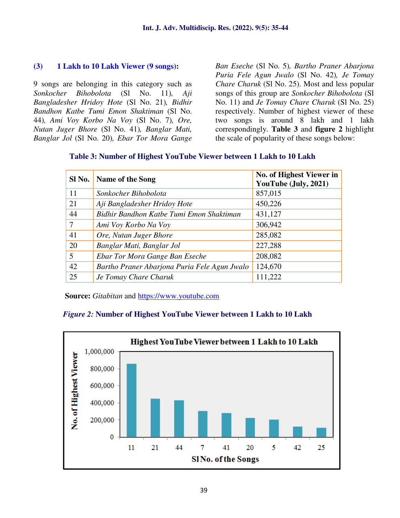#### **(3) 1 Lakh to 10 Lakh Viewer (9 songs):**

9 songs are belonging in this category such as *Sonkocher Bihobolota* (Sl No. 11)*, Aji Bangladesher Hridoy Hote* (Sl No. 21)*, Bidhir Bandhon Katbe Tumi Emon Shaktiman* (Sl No. 44)*, Ami Voy Korbo Na Voy* (Sl No. 7)*, Ore, Nutan Juger Bhore* (Sl No. 41)*, Banglar Mati, Banglar Jol* (Sl No. 20)*, Ebar Tor Mora Gange*  *Ban Eseche* (Sl No. 5)*, Bartho Praner Abarjona Puria Fele Agun Jwalo* (Sl No. 42)*, Je Tomay Chare Charuk* (Sl No. 25). Most and less popular songs of this group are *Sonkocher Bihobolota* (Sl No. 11) and *Je Tomay Chare Charuk* (Sl No. 25) respectively. Number of highest viewer of these two songs is around 8 lakh and 1 lakh correspondingly. **Table 3** and **figure 2** highlight the scale of popularity of these songs below:

| Sl No.         | <b>Name of the Song</b>                      | No. of Highest Viewer in<br>YouTube (July, 2021) |
|----------------|----------------------------------------------|--------------------------------------------------|
| 11             | Sonkocher Bihobolota                         | 857,015                                          |
| 21             | Aji Bangladesher Hridoy Hote                 | 450,226                                          |
| 44             | Bidhir Bandhon Katbe Tumi Emon Shaktiman     | 431,127                                          |
| 7              | Ami Voy Korbo Na Voy                         | 306,942                                          |
| 41             | Ore, Nutan Juger Bhore                       | 285,082                                          |
| 20             | Banglar Mati, Banglar Jol                    | 227,288                                          |
| $\overline{5}$ | Ebar Tor Mora Gange Ban Eseche               | 208,082                                          |
| 42             | Bartho Praner Abarjona Puria Fele Agun Jwalo | 124,670                                          |
| 25             | Je Tomay Chare Charuk                        | 111,222                                          |

#### **Table 3: Number of Highest YouTube Viewer between 1 Lakh to 10 Lakh**

 **Source:** *Gitabitan* and https://www.youtube.com

#### *Figure 2:* **Number of Highest YouTube Viewer between 1 Lakh to 10 Lakh**

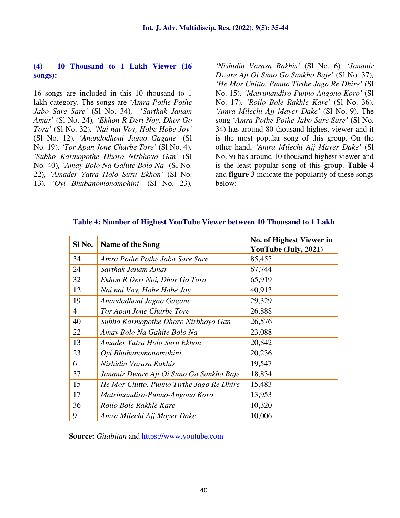#### **(4) 10 Thousand to 1 Lakh Viewer (16 songs):**

16 songs are included in this 10 thousand to 1 lakh category. The songs are '*Amra Pothe Pothe Jabo Sare Sare'* (Sl No. 34)*,* '*Sarthak Janam Amar'* (Sl No. 24)*, 'Ekhon R Deri Noy, Dhor Go Tora'* (Sl No. 32)*, 'Nai nai Voy, Hobe Hobe Joy'*  (Sl No. 12)*, 'Anandodhoni Jagao Gagane'* (Sl No. 19)*, 'Tor Apan Jone Charbe Tore'* (Sl No. 4)*, 'Subho Karmopothe Dhoro Nirbhoyo Gan'* (Sl No. 40)*, 'Amay Bolo Na Gahite Bolo Na'* (Sl No. 22)*, 'Amader Yatra Holo Suru Ekhon'* (Sl No. 13)*, 'Oyi Bhubanomonomohini'* (Sl No. 23)*,* 

*'Nishidin Varasa Rakhis'* (Sl No. 6)*, 'Jananir Dware Aji Oi Suno Go Sankho Baje'* (Sl No. 37)*, 'He Mor Chitto, Punno Tirthe Jago Re Dhire'* (Sl No. 15)*, 'Matrimandiro-Punno-Angono Koro'* (Sl No. 17)*, 'Roilo Bole Rakhle Kare'* (Sl No. 36)*, 'Amra Milechi Ajj Mayer Dake'* (Sl No. 9). The song '*Amra Pothe Pothe Jabo Sare Sare'* (Sl No. 34) has around 80 thousand highest viewer and it is the most popular song of this group. On the other hand, *'Amra Milechi Ajj Mayer Dake'* (Sl No. 9) has around 10 thousand highest viewer and is the least popular song of this group. **Table 4** and **figure 3** indicate the popularity of these songs below:

| Sl No.         | Name of the Song                          | No. of Highest Viewer in |
|----------------|-------------------------------------------|--------------------------|
|                |                                           | YouTube (July, 2021)     |
| 34             | Amra Pothe Pothe Jabo Sare Sare           | 85,455                   |
| 24             | Sarthak Janam Amar                        | 67,744                   |
| 32             | Ekhon R Deri Noi, Dhor Go Tora            | 65,919                   |
| 12             | Nai nai Voy, Hobe Hobe Joy                | 40,913                   |
| 19             | Anandodhoni Jagao Gagane                  | 29,329                   |
| $\overline{4}$ | Tor Apan Jone Charbe Tore                 | 26,888                   |
| 40             | Subho Karmopothe Dhoro Nirbhoyo Gan       | 26,576                   |
| 22             | Amay Bolo Na Gahite Bolo Na               | 23,088                   |
| 13             | Amader Yatra Holo Suru Ekhon              | 20,842                   |
| 23             | Oyi Bhubanomonomohini                     | 20,236                   |
| 6              | Nishidin Varasa Rakhis                    | 19,547                   |
| 37             | Jananir Dware Aji Oi Suno Go Sankho Baje  | 18,834                   |
| 15             | He Mor Chitto, Punno Tirthe Jago Re Dhire | 15,483                   |
| 17             | Matrimandiro-Punno-Angono Koro            | 13,953                   |
| 36             | Roilo Bole Rakhle Kare                    | 10,320                   |
| 9              | Amra Milechi Ajj Mayer Dake               | 10,006                   |

#### **Table 4: Number of Highest YouTube Viewer between 10 Thousand to 1 Lakh**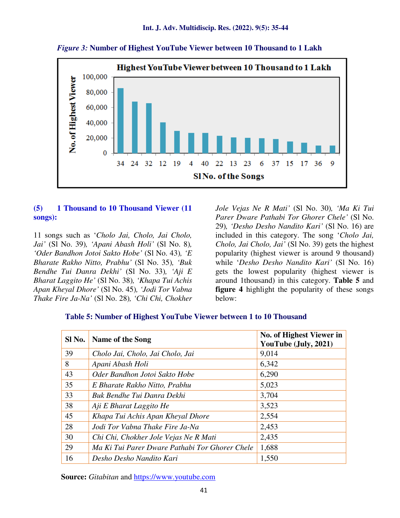

 *Figure 3:* **Number of Highest YouTube Viewer between 10 Thousand to 1 Lakh** 

#### **(5) 1 Thousand to 10 Thousand Viewer (11 songs):**

11 songs such as '*Cholo Jai, Cholo, Jai Cholo, Jai'* (Sl No. 39)*, 'Apani Abash Holi'* (Sl No. 8)*, 'Oder Bandhon Jotoi Sakto Hobe'* (Sl No. 43)*, 'E Bharate Rakho Nitto, Prabhu'* (Sl No. 35)*, 'Buk Bendhe Tui Danra Dekhi'* (Sl No. 33)*, 'Aji E Bharat Laggito He'* (Sl No. 38)*, 'Khapa Tui Achis Apan Kheyal Dhore'* (Sl No. 45)*, 'Jodi Tor Vabna Thake Fire Ja-Na'* (Sl No. 28)*, 'Chi Chi, Chokher* 

*Jole Vejas Ne R Mati'* (Sl No. 30)*, 'Ma Ki Tui Parer Dware Pathabi Tor Ghorer Chele'* (Sl No. 29)*, 'Desho Desho Nandito Kari'* (Sl No. 16) are included in this category. The song '*Cholo Jai, Cholo, Jai Cholo, Jai'* (Sl No. 39) gets the highest popularity (highest viewer is around 9 thousand) while '*Desho Desho Nandito Kari'* (Sl No. 16) gets the lowest popularity (highest viewer is around 1thousand) in this category. **Table 5** and **figure 4** highlight the popularity of these songs below:

#### **Table 5: Number of Highest YouTube Viewer between 1 to 10 Thousand**

| Sl No. | Name of the Song                               | No. of Highest Viewer in<br>YouTube (July, 2021) |
|--------|------------------------------------------------|--------------------------------------------------|
| 39     | Cholo Jai, Cholo, Jai Cholo, Jai               | 9,014                                            |
| 8      | Apani Abash Holi                               | 6,342                                            |
| 43     | Oder Bandhon Jotoi Sakto Hobe                  | 6,290                                            |
| 35     | E Bharate Rakho Nitto, Prabhu                  | 5,023                                            |
| 33     | Buk Bendhe Tui Danra Dekhi                     | 3,704                                            |
| 38     | Aji E Bharat Laggito He                        | 3,523                                            |
| 45     | Khapa Tui Achis Apan Kheyal Dhore              | 2,554                                            |
| 28     | Jodi Tor Vabna Thake Fire Ja-Na                | 2,453                                            |
| 30     | Chi Chi, Chokher Jole Vejas Ne R Mati          | 2,435                                            |
| 29     | Ma Ki Tui Parer Dware Pathabi Tor Ghorer Chele | 1,688                                            |
| 16     | Desho Desho Nandito Kari                       | 1,550                                            |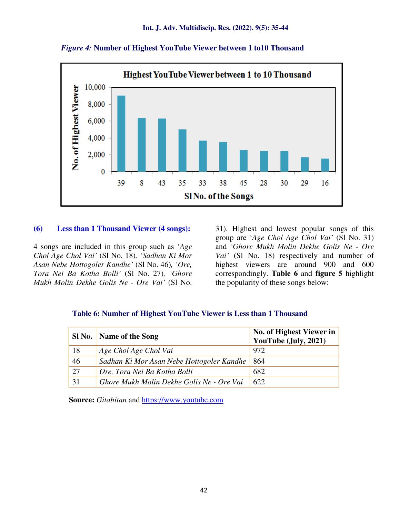

 *Figure 4:* **Number of Highest YouTube Viewer between 1 to10 Thousand** 

#### **(6) Less than 1 Thousand Viewer (4 songs):**

4 songs are included in this group such as '*Age Chol Age Chol Vai'* (Sl No. 18)*, 'Sadhan Ki Mor Asan Nebe Hottogoler Kandhe'* (Sl No. 46)*, 'Ore, Tora Nei Ba Kotha Bolli'* (Sl No. 27)*, 'Ghore Mukh Molin Dekhe Golis Ne - Ore Vai'* (Sl No.

31). Highest and lowest popular songs of this group are '*Age Chol Age Chol Vai'* (Sl No. 31) and *'Ghore Mukh Molin Dekhe Golis Ne - Ore Vai'* (Sl No. 18) respectively and number of highest viewers are around 900 and 600 correspondingly. **Table 6** and **figure 5** highlight the popularity of these songs below:

#### **Table 6: Number of Highest YouTube Viewer is Less than 1 Thousand**

| Sl No. | Name of the Song                          | No. of Highest Viewer in<br>YouTube (July, 2021) |
|--------|-------------------------------------------|--------------------------------------------------|
| 18     | Age Chol Age Chol Vai                     | 972                                              |
| 46     | Sadhan Ki Mor Asan Nebe Hottogoler Kandhe | 864                                              |
| 27     | Ore, Tora Nei Ba Kotha Bolli              | 682                                              |
| 31     | Ghore Mukh Molin Dekhe Golis Ne - Ore Vai | 622                                              |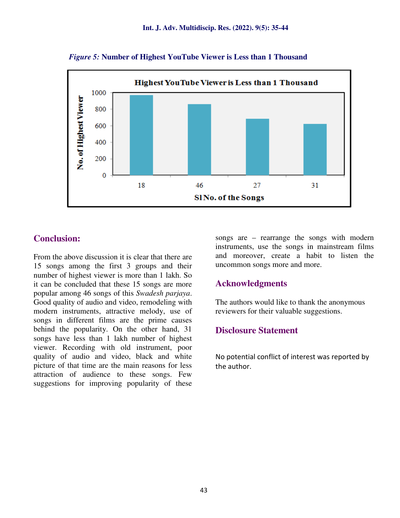

 *Figure 5:* **Number of Highest YouTube Viewer is Less than 1 Thousand** 

# **Conclusion:**

From the above discussion it is clear that there are 15 songs among the first 3 groups and their number of highest viewer is more than 1 lakh. So it can be concluded that these 15 songs are more popular among 46 songs of this *Swadesh parjaya*. Good quality of audio and video, remodeling with modern instruments, attractive melody, use of songs in different films are the prime causes behind the popularity. On the other hand, 31 songs have less than 1 lakh number of highest viewer. Recording with old instrument, poor quality of audio and video, black and white picture of that time are the main reasons for less attraction of audience to these songs. Few suggestions for improving popularity of these

songs are – rearrange the songs with modern instruments, use the songs in mainstream films and moreover, create a habit to listen the uncommon songs more and more.

# **Acknowledgments**

The authors would like to thank the anonymous reviewers for their valuable suggestions.

# **Disclosure Statement**

No potential conflict of interest was reported by the author.